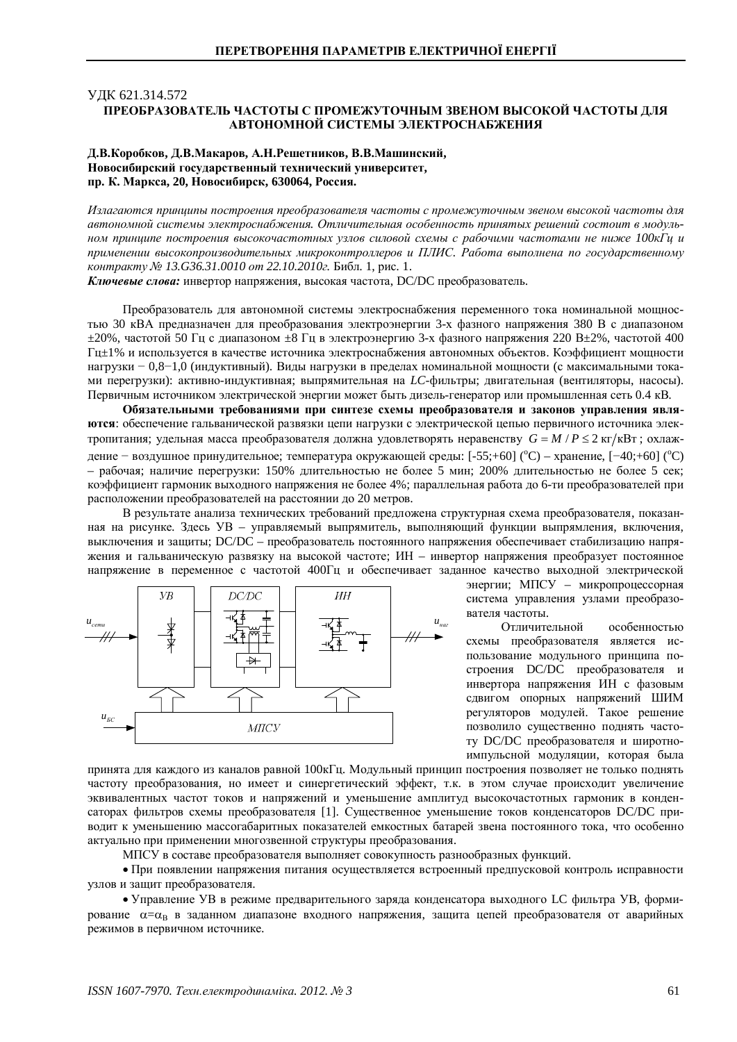#### ɍȾɄ 621.314.572 ПРЕОБРАЗОВАТЕЛЬ ЧАСТОТЫ С ПРОМЕЖУТОЧНЫМ ЗВЕНОМ ВЫСОКОЙ ЧАСТОТЫ ДЛЯ **АВТОНОМНОЙ СИСТЕМЫ ЭЛЕКТРОСНАБЖЕНИЯ**

## $\Lambda$ , В. Коробков, Д.В. Макаров, А.Н. Решетников, В.В. Машинский, Новосибирский государственный технический университет, **пр. К. Маркса, 20, Новосибирск, 630064, Россия.**

Излагаются принципы построения преобразователя частоты с промежуточным звеном высокой частоты для *ɚɜɬɨɧɨɦɧɨɣɫɢɫɬɟɦɵɷɥɟɤɬɪɨɫɧɚɛɠɟɧɢɹ. Ɉɬɥɢɱɢɬɟɥɶɧɚɹɨɫɨɛɟɧɧɨɫɬɶɩɪɢɧɹɬɵɯɪɟɲɟɧɢɣɫɨɫɬɨɢɬɜɦɨɞɭɥɶ*ном принципе построения высокочастотных узлов силовой схемы с рабочими частотами не ниже 100*кГц* и применении высокопроизводительных микроконтроллеров и ПЛИС. Работа выполнена по государственному  $κ$ *ΘΗΜΩΩΚΜΥ*  $N$ <sup>2</sup> 13.G36.31.0010 *om* 22.10.2010*ε*. Библ. 1, рис. 1.

Ключевые слова: инвертор напряжения, высокая частота, DC/DC преобразователь.

Преобразователь для автономной системы электроснабжения переменного тока номинальной мощностью 30 кВА предназначен для преобразования электроэнергии 3-х фазного напряжения 380 В с диапазоном  $±20%$ , частотой 50 Гц с диапазоном  $±8$  Гц в электроэнергию 3-х фазного напряжения 220 В $±2%$ , частотой 400 Гц±1% и используется в качестве источника электроснабжения автономных объектов. Коэффициент мощности нагрузки – 0,8–1,0 (индуктивный). Виды нагрузки в пределах номинальной мощности (с максимальными токами перегрузки): активно-индуктивная; выпрямительная на LC-фильтры; двигательная (вентиляторы, насосы). Первичным источником электрической энергии может быть дизель-генератор или промышленная сеть 0.4 кВ.

Обязательными требованиями при синтезе схемы преобразователя и законов управления явля**ются**: обеспечение гальванической развязки цепи нагрузки с электрической цепью первичного источника электропитания; удельная масса преобразователя должна удовлетворять неравенству  $G = M / P \leq 2 \text{ kT} / \text{kBr}$ ; охлаждение – воздушное принудительное; температура окружающей среды: [-55;+60] (°C) – хранение, [-40;+60] (°C) – рабочая; наличие перегрузки: 150% длительностью не более 5 мин; 200% длительностью не более 5 сек; коэффициент гармоник выходного напряжения не более 4%; параллельная работа до 6-ти преобразователей при расположении преобразователей на расстоянии до 20 метров.

В результате анализа технических требований предложена структурная схема преобразователя, показанная на рисунке. Здесь УВ - управляемый выпрямитель, выполняющий функции выпрямления, включения, выключения и защиты; DC/DC – преобразователь постоянного напряжения обеспечивает стабилизацию напряжения и гальваническую развязку на высокой частоте; ИН – инвертор напряжения преобразует постоянное напряжение в переменное с частотой 400Гц и обеспечивает заданное качество выходной электрической



энергии; МПСУ – микропроцессорная система управления узлами преобразователя частоты.

Отличительной особенностью схемы преобразователя является использование модульного принципа построения DC/DC преобразователя и инвертора напряжения ИН с фазовым сдвигом опорных напряжений ШИМ регуляторов модулей. Такое решение нозволило существенно поднять частоту DC/DC преобразователя и широтноимпульсной модуляции, которая была

принята для каждого из каналов равной 100кГц. Модульный принцип построения позволяет не только поднять частоту преобразования, но имеет и синергетический эффект, т.к. в этом случае происходит увеличение эквивалентных частот токов и напряжений и уменьшение амплитуд высокочастотных гармоник в конденсаторах фильтров схемы преобразователя [1]. Существенное уменьшение токов конденсаторов DC/DC приводит к уменьшению массогабаритных показателей емкостных батарей звена постоянного тока, что особенно актуально при применении многозвенной структуры преобразования.

МПСУ в составе преобразователя выполняет совокупность разнообразных функций.

• При появлении напряжения питания осуществляется встроенный предпусковой контроль исправности узлов и защит преобразователя.

• Управление УВ в режиме предварительного заряда конденсатора выходного LC фильтра УВ, формирование  $\alpha = \alpha_R$  в заданном диапазоне входного напряжения, защита цепей преобразователя от аварийных гоежимов в первичном источнике.